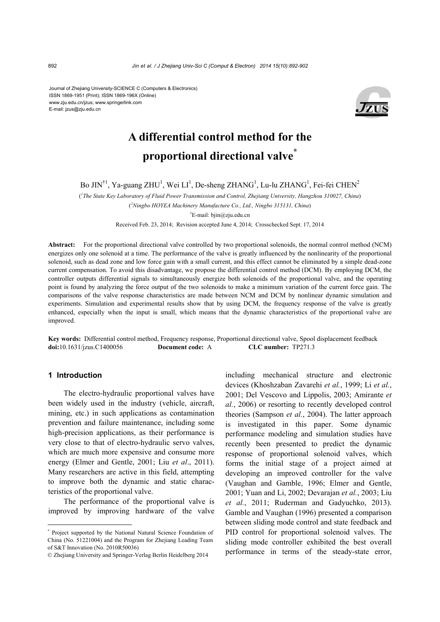Journal of Zhejiang University-SCIENCE C (Computers & Electronics) ISSN 1869-1951 (Print); ISSN 1869-196X (Online) www.zju.edu.cn/jzus; www.springerlink.com E-mail: jzus@zju.edu.cn



# **A differential control method for the proportional directional valve\***

Bo JIN<sup>†1</sup>, Ya-guang ZHU<sup>1</sup>, Wei LI<sup>1</sup>, De-sheng ZHANG<sup>1</sup>, Lu-lu ZHANG<sup>1</sup>, Fei-fei CHEN<sup>2</sup>

( *1 The State Key Laboratory of Fluid Power Transmission and Control, Zhejiang University, Hangzhou 310027, China*) ( *2 Ningbo HOYEA Machinery Manufacture Co., Ltd., Ningbo 315131, China*) † E-mail: bjin@zju.edu.cn

Received Feb. 23, 2014; Revision accepted June 4, 2014; Crosschecked Sept. 17, 2014

**Abstract:** For the proportional directional valve controlled by two proportional solenoids, the normal control method (NCM) energizes only one solenoid at a time. The performance of the valve is greatly influenced by the nonlinearity of the proportional solenoid, such as dead zone and low force gain with a small current, and this effect cannot be eliminated by a simple dead-zone current compensation. To avoid this disadvantage, we propose the differential control method (DCM). By employing DCM, the controller outputs differential signals to simultaneously energize both solenoids of the proportional valve, and the operating point is found by analyzing the force output of the two solenoids to make a minimum variation of the current force gain. The comparisons of the valve response characteristics are made between NCM and DCM by nonlinear dynamic simulation and experiments. Simulation and experimental results show that by using DCM, the frequency response of the valve is greatly enhanced, especially when the input is small, which means that the dynamic characteristics of the proportional valve are improved.

**Key words:** Differential control method, Frequency response, Proportional directional valve, Spool displacement feedback **doi:**10.1631/jzus.C1400056 **Document code:** A **CLC number:** TP271.3

## **1 Introduction**

The electro-hydraulic proportional valves have been widely used in the industry (vehicle, aircraft, mining, etc.) in such applications as contamination prevention and failure maintenance, including some high-precision applications, as their performance is very close to that of electro-hydraulic servo valves, which are much more expensive and consume more energy (Elmer and Gentle, 2001; Liu *et al*., 2011). Many researchers are active in this field, attempting to improve both the dynamic and static characteristics of the proportional valve.

The performance of the proportional valve is improved by improving hardware of the valve including mechanical structure and electronic devices (Khoshzaban Zavarehi *et al.*, 1999; Li *et al.*, 2001; Del Vescovo and Lippolis, 2003; Amirante *et al.*, 2006) or resorting to recently developed control theories (Sampson *et al.*, 2004). The latter approach is investigated in this paper. Some dynamic performance modeling and simulation studies have recently been presented to predict the dynamic response of proportional solenoid valves, which forms the initial stage of a project aimed at developing an improved controller for the valve (Vaughan and Gamble, 1996; Elmer and Gentle, 2001; Yuan and Li, 2002; Devarajan *et al.*, 2003; Liu *et al.*, 2011; Ruderman and Gadyuchko, 2013). Gamble and Vaughan (1996) presented a comparison between sliding mode control and state feedback and PID control for proportional solenoid valves. The sliding mode controller exhibited the best overall performance in terms of the steady-state error,

<sup>\*</sup> Project supported by the National Natural Science Foundation of China (No. 51221004) and the Program for Zhejiang Leading Team of S&T Innovation (No. 2010R50036)

<sup>©</sup> Zhejiang University and Springer-Verlag Berlin Heidelberg 2014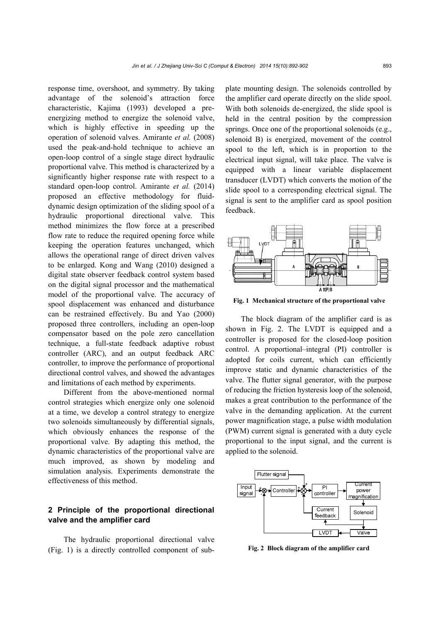response time, overshoot, and symmetry. By taking advantage of the solenoid's attraction force characteristic, Kajima (1993) developed a preenergizing method to energize the solenoid valve, which is highly effective in speeding up the operation of solenoid valves. Amirante *et al.* (2008) used the peak-and-hold technique to achieve an open-loop control of a single stage direct hydraulic proportional valve. This method is characterized by a significantly higher response rate with respect to a standard open-loop control. Amirante *et al.* (2014) proposed an effective methodology for fluiddynamic design optimization of the sliding spool of a hydraulic proportional directional valve. This method minimizes the flow force at a prescribed flow rate to reduce the required opening force while keeping the operation features unchanged, which allows the operational range of direct driven valves to be enlarged. Kong and Wang (2010) designed a digital state observer feedback control system based on the digital signal processor and the mathematical model of the proportional valve. The accuracy of spool displacement was enhanced and disturbance can be restrained effectively. Bu and Yao (2000) proposed three controllers, including an open-loop compensator based on the pole zero cancellation technique, a full-state feedback adaptive robust controller (ARC), and an output feedback ARC controller, to improve the performance of proportional directional control valves, and showed the advantages and limitations of each method by experiments.

Different from the above-mentioned normal control strategies which energize only one solenoid at a time, we develop a control strategy to energize two solenoids simultaneously by differential signals, which obviously enhances the response of the proportional valve. By adapting this method, the dynamic characteristics of the proportional valve are much improved, as shown by modeling and simulation analysis. Experiments demonstrate the effectiveness of this method.

## **2 Principle of the proportional directional valve and the amplifier card**

The hydraulic proportional directional valve (Fig. 1) is a directly controlled component of subplate mounting design. The solenoids controlled by the amplifier card operate directly on the slide spool. With both solenoids de-energized, the slide spool is held in the central position by the compression springs. Once one of the proportional solenoids (e.g., solenoid B) is energized, movement of the control spool to the left, which is in proportion to the electrical input signal, will take place. The valve is equipped with a linear variable displacement transducer (LVDT) which converts the motion of the slide spool to a corresponding electrical signal. The signal is sent to the amplifier card as spool position feedback.



**Fig. 1 Mechanical structure of the proportional valve**

The block diagram of the amplifier card is as shown in Fig. 2. The LVDT is equipped and a controller is proposed for the closed-loop position control. A proportional–integral (PI) controller is adopted for coils current, which can efficiently improve static and dynamic characteristics of the valve. The flutter signal generator, with the purpose of reducing the friction hysteresis loop of the solenoid, makes a great contribution to the performance of the valve in the demanding application. At the current power magnification stage, a pulse width modulation (PWM) current signal is generated with a duty cycle proportional to the input signal, and the current is applied to the solenoid.



**Fig. 2 Block diagram of the amplifier card**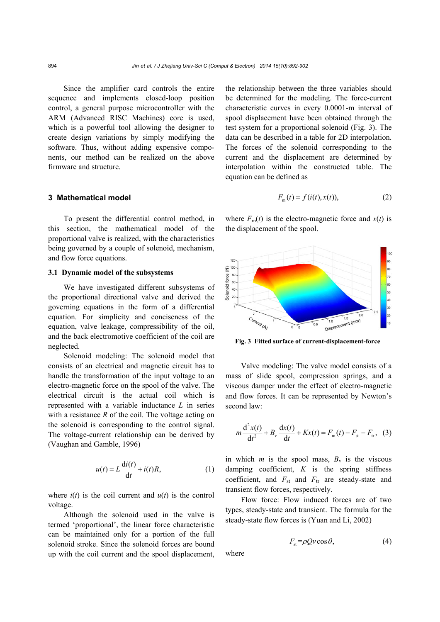Since the amplifier card controls the entire sequence and implements closed-loop position control, a general purpose microcontroller with the ARM (Advanced RISC Machines) core is used, which is a powerful tool allowing the designer to create design variations by simply modifying the software. Thus, without adding expensive components, our method can be realized on the above firmware and structure.

## **3 Mathematical model**

To present the differential control method, in this section, the mathematical model of the proportional valve is realized, with the characteristics being governed by a couple of solenoid, mechanism, and flow force equations.

## **3.1 Dynamic model of the subsystems**

We have investigated different subsystems of the proportional directional valve and derived the governing equations in the form of a differential equation. For simplicity and conciseness of the equation, valve leakage, compressibility of the oil, and the back electromotive coefficient of the coil are neglected.

Solenoid modeling: The solenoid model that consists of an electrical and magnetic circuit has to handle the transformation of the input voltage to an electro-magnetic force on the spool of the valve. The electrical circuit is the actual coil which is represented with a variable inductance *L* in series with a resistance *R* of the coil. The voltage acting on the solenoid is corresponding to the control signal. The voltage-current relationship can be derived by (Vaughan and Gamble, 1996)

$$
u(t) = L\frac{di(t)}{dt} + i(t)R,
$$
 (1)

where  $i(t)$  is the coil current and  $u(t)$  is the control voltage.

Although the solenoid used in the valve is termed 'proportional', the linear force characteristic can be maintained only for a portion of the full solenoid stroke. Since the solenoid forces are bound up with the coil current and the spool displacement, the relationship between the three variables should be determined for the modeling. The force-current characteristic curves in every 0.0001-m interval of spool displacement have been obtained through the test system for a proportional solenoid (Fig. 3). The data can be described in a table for 2D interpolation. The forces of the solenoid corresponding to the current and the displacement are determined by interpolation within the constructed table. The equation can be defined as

$$
F_{\mathbf{m}}(t) = f(i(t), x(t)),\tag{2}
$$

where  $F_m(t)$  is the electro-magnetic force and  $x(t)$  is the displacement of the spool.



**Fig. 3 Fitted surface of current-displacement-force**

Valve modeling: The valve model consists of a mass of slide spool, compression springs, and a viscous damper under the effect of electro-magnetic and flow forces. It can be represented by Newton's second law:

$$
m\frac{d^{2}x(t)}{dt^{2}} + B_{v}\frac{dx(t)}{dt} + Kx(t) = F_{m}(t) - F_{st} - F_{tr}, \quad (3)
$$

in which *m* is the spool mass,  $B_v$  is the viscous damping coefficient, *K* is the spring stiffness coefficient, and  $F_{st}$  and  $F_{tr}$  are steady-state and transient flow forces, respectively.

Flow force: Flow induced forces are of two types, steady-state and transient. The formula for the steady-state flow forces is (Yuan and Li, 2002)

$$
F_{st} = \rho Q v \cos \theta, \tag{4}
$$

where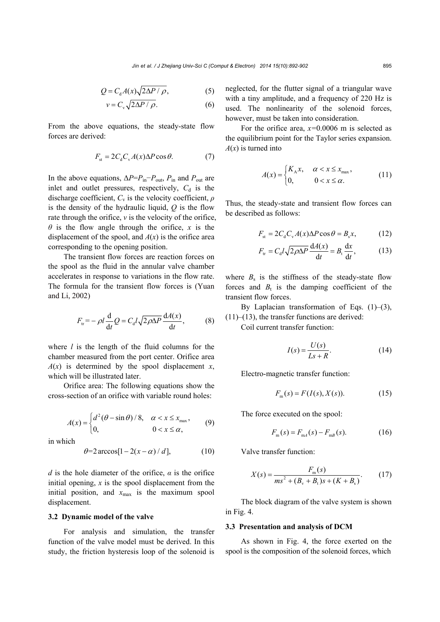$$
Q = C_{d} A(x) \sqrt{2\Delta P / \rho},
$$
 (5)

$$
v = C_{v} \sqrt{2\Delta P / \rho}.
$$
 (6)

From the above equations, the steady-state flow forces are derived:

$$
F_{st} = 2C_d C_v A(x) \Delta P \cos \theta.
$$
 (7)

In the above equations,  $\Delta P = P_{\text{in}} - P_{\text{out}}$ ,  $P_{\text{in}}$  and  $P_{\text{out}}$  are inlet and outlet pressures, respectively,  $C_d$  is the discharge coefficient, *C*v is the velocity coefficient, *ρ* is the density of the hydraulic liquid, *Q* is the flow rate through the orifice, *v* is the velocity of the orifice, *θ* is the flow angle through the orifice, *x* is the displacement of the spool, and  $A(x)$  is the orifice area corresponding to the opening position.

The transient flow forces are reaction forces on the spool as the fluid in the annular valve chamber accelerates in response to variations in the flow rate. The formula for the transient flow forces is (Yuan and Li, 2002)

$$
F_{\rm tr} = -\rho l \frac{\mathrm{d}}{\mathrm{d}t} Q = C_{\rm d} l \sqrt{2\rho \Delta P} \frac{\mathrm{d}A(x)}{\mathrm{d}t},\qquad(8)
$$

where *l* is the length of the fluid columns for the chamber measured from the port center. Orifice area  $A(x)$  is determined by the spool displacement *x*, which will be illustrated later.

Orifice area: The following equations show the cross-section of an orifice with variable round holes:

$$
A(x) = \begin{cases} d^2(\theta - \sin \theta) / 8, & \alpha < x \le x_{\text{max}}, \\ 0, & 0 < x \le \alpha, \end{cases}
$$
 (9)

in which

$$
\theta = 2 \arccos[1 - 2(x - \alpha)/d], \qquad (10)
$$

*d* is the hole diameter of the orifice,  $\alpha$  is the orifice initial opening,  $x$  is the spool displacement from the initial position, and  $x_{\text{max}}$  is the maximum spool displacement.

## **3.2 Dynamic model of the valve**

For analysis and simulation, the transfer function of the valve model must be derived. In this study, the friction hysteresis loop of the solenoid is neglected, for the flutter signal of a triangular wave with a tiny amplitude, and a frequency of 220 Hz is used. The nonlinearity of the solenoid forces, however, must be taken into consideration.

For the orifice area, *x=*0.0006 m is selected as the equilibrium point for the Taylor series expansion.  $A(x)$  is turned into

$$
A(x) = \begin{cases} K_A x, & \alpha < x \le x_{\text{max}}, \\ 0, & 0 < x \le \alpha. \end{cases} \tag{11}
$$

Thus, the steady-state and transient flow forces can be described as follows:

$$
F_{st} = 2C_d C_v A(x) \Delta P \cos \theta = B_s x, \qquad (12)
$$

$$
F_{\rm tr} = C_{\rm d} l \sqrt{2\rho \Delta P} \frac{\mathrm{d} A(x)}{\mathrm{d} t} = B_{\rm t} \frac{\mathrm{d} x}{\mathrm{d} t},\tag{13}
$$

where  $B_s$  is the stiffness of the steady-state flow forces and  $B_t$  is the damping coefficient of the transient flow forces.

By Laplacian transformation of Eqs.  $(1)$ – $(3)$ ,  $(11)$ – $(13)$ , the transfer functions are derived:

Coil current transfer function:

$$
I(s) = \frac{U(s)}{Ls + R}.\tag{14}
$$

Electro-magnetic transfer function:

$$
F_{\rm m}(s) = F(I(s), X(s)).
$$
 (15)

The force executed on the spool:

$$
F_{\rm m}(s) = F_{\rm m4}(s) - F_{\rm mB}(s). \tag{16}
$$

Valve transfer function:

$$
X(s) = \frac{F_{\rm m}(s)}{ms^2 + (B_{\rm v} + B_{\rm t})s + (K + B_{\rm s})}.\tag{17}
$$

The block diagram of the valve system is shown in Fig. 4.

#### **3.3 Presentation and analysis of DCM**

As shown in Fig. 4, the force exerted on the spool is the composition of the solenoid forces, which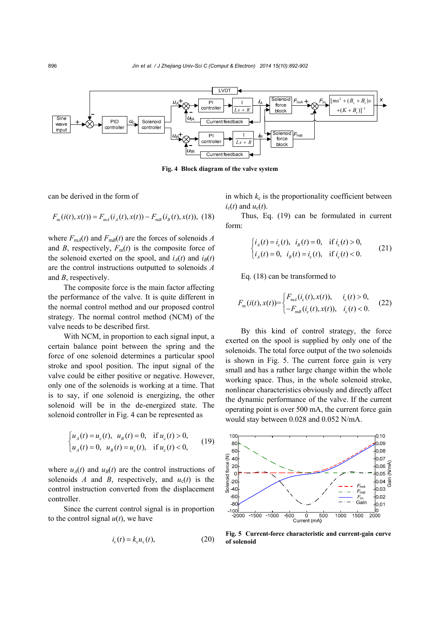

**Fig. 4 Block diagram of the valve system**

can be derived in the form of

$$
F_{\rm m}(i(t),x(t)) = F_{\rm m4}(i_A(t),x(t)) - F_{\rm mB}(i_B(t),x(t)),
$$
 (18)

where  $F_{\text{mA}}(t)$  and  $F_{\text{mB}}(t)$  are the forces of solenoids *A* and *B*, respectively,  $F_m(t)$  is the composite force of the solenoid exerted on the spool, and  $i_A(t)$  and  $i_B(t)$ are the control instructions outputted to solenoids *A* and *B*, respectively.

The composite force is the main factor affecting the performance of the valve. It is quite different in the normal control method and our proposed control strategy. The normal control method (NCM) of the valve needs to be described first.

With NCM, in proportion to each signal input, a certain balance point between the spring and the force of one solenoid determines a particular spool stroke and spool position. The input signal of the valve could be either positive or negative. However, only one of the solenoids is working at a time. That is to say, if one solenoid is energizing, the other solenoid will be in the de-energized state. The solenoid controller in Fig. 4 can be represented as

$$
\begin{cases} u_A(t) = u_{\rm c}(t), & u_B(t) = 0, \text{ if } u_{\rm c}(t) > 0, \\ u_A(t) = 0, & u_B(t) = u_{\rm c}(t), \text{ if } u_{\rm c}(t) < 0, \end{cases}
$$
(19)

where  $u_A(t)$  and  $u_B(t)$  are the control instructions of solenoids *A* and *B*, respectively, and  $u_c(t)$  is the control instruction converted from the displacement controller.

Since the current control signal is in proportion to the control signal  $u(t)$ , we have

$$
i_{\rm c}(t) = k_{\rm c} u_{\rm c}(t),\tag{20}
$$

in which  $k_c$  is the proportionality coefficient between  $i<sub>c</sub>(t)$  and  $u<sub>c</sub>(t)$ .

Thus, Eq. (19) can be formulated in current form:

$$
\begin{cases}\ni_A(t) = i_{\rm c}(t), & i_B(t) = 0, \text{ if } i_{\rm c}(t) > 0, \\
i_A(t) = 0, & i_B(t) = i_{\rm c}(t), \text{ if } i_{\rm c}(t) < 0.\n\end{cases}
$$
\n(21)

Eq. (18) can be transformed to

$$
F_{\rm m}(i(t),x(t)) = \begin{cases} F_{\rm m4}(i_{\rm c}(t),x(t)), & i_{\rm c}(t) > 0, \\ -F_{\rm mB}(i_{\rm c}(t),x(t)), & i_{\rm c}(t) < 0. \end{cases}
$$
 (22)

By this kind of control strategy, the force exerted on the spool is supplied by only one of the solenoids. The total force output of the two solenoids is shown in Fig. 5. The current force gain is very small and has a rather large change within the whole working space. Thus, in the whole solenoid stroke, nonlinear characteristics obviously and directly affect the dynamic performance of the valve. If the current operating point is over 500 mA, the current force gain would stay between 0.028 and 0.052 N/mA.



**Fig. 5 Current-force characteristic and current-gain curve**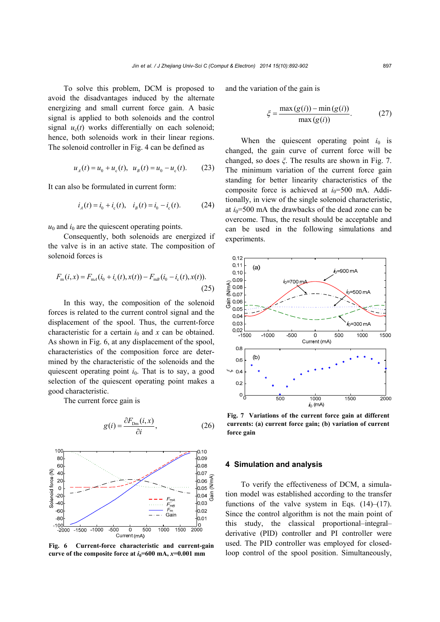To solve this problem, DCM is proposed to avoid the disadvantages induced by the alternate energizing and small current force gain. A basic signal is applied to both solenoids and the control signal  $u_c(t)$  works differentially on each solenoid; hence, both solenoids work in their linear regions. The solenoid controller in Fig. 4 can be defined as

$$
u_{A}(t) = u_{0} + u_{c}(t), \ \ u_{B}(t) = u_{0} - u_{c}(t). \tag{23}
$$

It can also be formulated in current form:

$$
i_A(t) = i_0 + i_c(t), \quad i_B(t) = i_0 - i_c(t).
$$
 (24)

 $u_0$  and  $i_0$  are the quiescent operating points.

Consequently, both solenoids are energized if the valve is in an active state. The composition of solenoid forces is

$$
F_{\rm m}(i, x) = F_{\rm m4}(i_0 + i_{\rm c}(t), x(t)) - F_{\rm mB}(i_0 - i_{\rm c}(t), x(t)).
$$
\n(25)

In this way, the composition of the solenoid forces is related to the current control signal and the displacement of the spool. Thus, the current-force characteristic for a certain  $i_0$  and  $x$  can be obtained. As shown in Fig. 6, at any displacement of the spool, characteristics of the composition force are determined by the characteristic of the solenoids and the quiescent operating point  $i<sub>0</sub>$ . That is to say, a good selection of the quiescent operating point makes a good characteristic.

The current force gain is





**Fig. 6 Current-force characteristic and current-gain curve of the composite force at**  $i_0$ **=600 mA,**  $x$ **=0.001 mm** 

and the variation of the gain is

$$
\xi = \frac{\max(g(i)) - \min(g(i))}{\max(g(i))}.
$$
 (27)

When the quiescent operating point  $i_0$  is changed, the gain curve of current force will be changed, so does *ξ*. The results are shown in Fig. 7. The minimum variation of the current force gain standing for better linearity characteristics of the composite force is achieved at  $i_0$ =500 mA. Additionally, in view of the single solenoid characteristic, at  $i_0$ =500 mA the drawbacks of the dead zone can be overcome. Thus, the result should be acceptable and can be used in the following simulations and experiments.



**Fig. 7 Variations of the current force gain at different currents: (a) current force gain; (b) variation of current force gain** 

#### **4 Simulation and analysis**

To verify the effectiveness of DCM, a simulation model was established according to the transfer functions of the valve system in Eqs.  $(14)$ – $(17)$ . Since the control algorithm is not the main point of this study, the classical proportional–integral– derivative (PID) controller and PI controller were used. The PID controller was employed for closedloop control of the spool position. Simultaneously,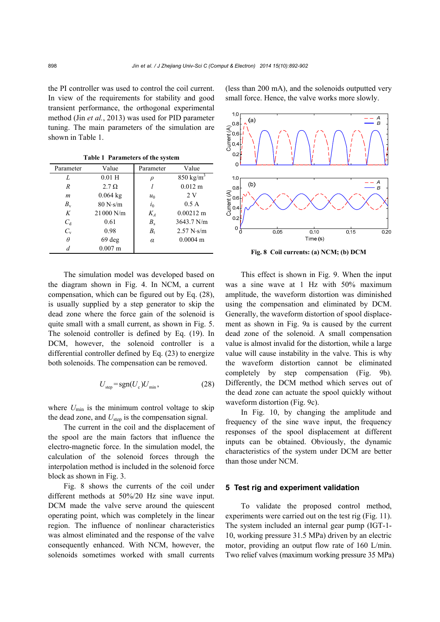the PI controller was used to control the coil current. In view of the requirements for stability and good transient performance, the orthogonal experimental method (Jin *et al.*, 2013) was used for PID parameter tuning. The main parameters of the simulation are shown in Table 1.

**Table 1 Parameters of the system** 

| Parameter   | Value             | Parameter | Value                |
|-------------|-------------------|-----------|----------------------|
| L           | $0.01$ H          | $\rho$    | $850 \text{ kg/m}^3$ |
| R           | $2.7 \Omega$      |           | $0.012 \text{ m}$    |
| m           | $0.064$ kg        | $u_0$     | 2 V                  |
| $B_{\rm v}$ | 80 N·s/m          | $i_0$     | 0.5A                 |
| K           | 21 000 N/m        | $K_{A}$   | $0.00212 \text{ m}$  |
| $C_{d}$     | 0.61              | $B_{s}$   | $3643.7$ N/m         |
| $C_{\rm v}$ | 0.98              | $B_{t}$   | 2.57 N·s/m           |
| θ           | $69$ deg          | $\alpha$  | $0.0004$ m           |
| d           | $0.007 \text{ m}$ |           |                      |

The simulation model was developed based on the diagram shown in Fig. 4. In NCM, a current compensation, which can be figured out by Eq. (28), is usually supplied by a step generator to skip the dead zone where the force gain of the solenoid is quite small with a small current, as shown in Fig. 5. The solenoid controller is defined by Eq. (19). In DCM, however, the solenoid controller is a differential controller defined by Eq. (23) to energize both solenoids. The compensation can be removed.

$$
U_{\text{step}} = \text{sgn}(U_{\text{c}})U_{\text{min}},\tag{28}
$$

where  $U_{\text{min}}$  is the minimum control voltage to skip the dead zone, and  $U_{\text{step}}$  is the compensation signal.

The current in the coil and the displacement of the spool are the main factors that influence the electro-magnetic force. In the simulation model, the calculation of the solenoid forces through the interpolation method is included in the solenoid force block as shown in Fig. 3.

Fig. 8 shows the currents of the coil under different methods at 50%/20 Hz sine wave input. DCM made the valve serve around the quiescent operating point, which was completely in the linear region. The influence of nonlinear characteristics was almost eliminated and the response of the valve consequently enhanced. With NCM, however, the solenoids sometimes worked with small currents (less than 200 mA), and the solenoids outputted very small force. Hence, the valve works more slowly.



**Fig. 8 Coil currents: (a) NCM; (b) DCM** 

This effect is shown in Fig. 9. When the input was a sine wave at 1 Hz with 50% maximum amplitude, the waveform distortion was diminished using the compensation and eliminated by DCM. Generally, the waveform distortion of spool displacement as shown in Fig. 9a is caused by the current dead zone of the solenoid. A small compensation value is almost invalid for the distortion, while a large value will cause instability in the valve. This is why the waveform distortion cannot be eliminated completely by step compensation (Fig. 9b). Differently, the DCM method which serves out of the dead zone can actuate the spool quickly without waveform distortion (Fig. 9c).

In Fig. 10, by changing the amplitude and frequency of the sine wave input, the frequency responses of the spool displacement at different inputs can be obtained. Obviously, the dynamic characteristics of the system under DCM are better than those under NCM.

## **5 Test rig and experiment validation**

To validate the proposed control method, experiments were carried out on the test rig (Fig. 11). The system included an internal gear pump (IGT-1- 10, working pressure 31.5 MPa) driven by an electric motor, providing an output flow rate of 160 L/min. Two relief valves (maximum working pressure 35 MPa)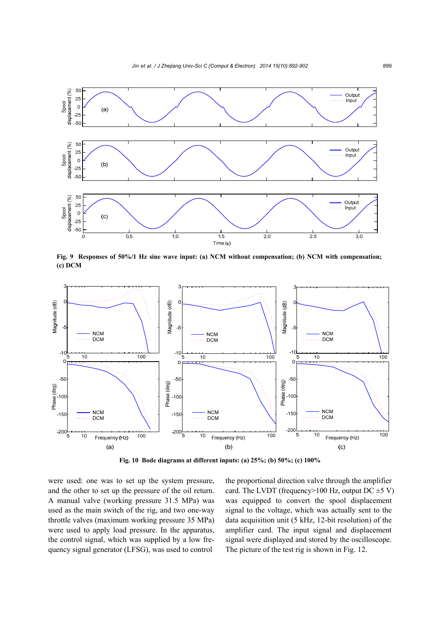

**Fig. 9 Responses of 50%/1 Hz sine wave input: (a) NCM without compensation; (b) NCM with compensation; (c) DCM** 



**Fig. 10 Bode diagrams at different inputs: (a) 25%; (b) 50%; (c) 100%**

were used: one was to set up the system pressure, and the other to set up the pressure of the oil return. A manual valve (working pressure 31.5 MPa) was used as the main switch of the rig, and two one-way throttle valves (maximum working pressure 35 MPa) were used to apply load pressure. In the apparatus, the control signal, which was supplied by a low frequency signal generator (LFSG), was used to control

the proportional direction valve through the amplifier card. The LVDT (frequency>100 Hz, output DC  $\pm$ 5 V) was equipped to convert the spool displacement signal to the voltage, which was actually sent to the data acquisition unit (5 kHz, 12-bit resolution) of the amplifier card. The input signal and displacement signal were displayed and stored by the oscilloscope. The picture of the test rig is shown in Fig. 12.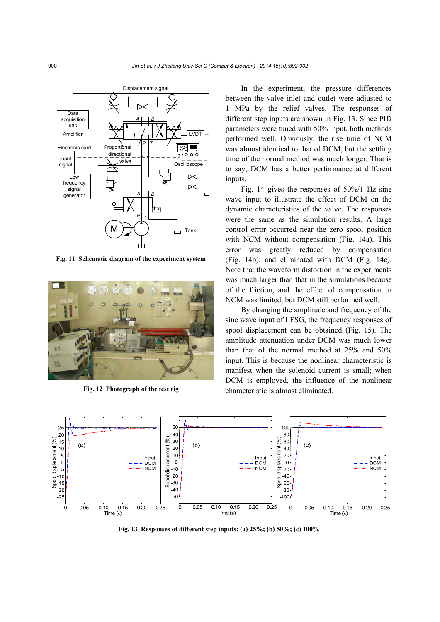

**Fig. 11 Schematic diagram of the experiment system**



**Fig. 12 Photograph of the test rig**

In the experiment, the pressure differences between the valve inlet and outlet were adjusted to 1 MPa by the relief valves. The responses of different step inputs are shown in Fig. 13. Since PID parameters were tuned with 50% input, both methods performed well. Obviously, the rise time of NCM was almost identical to that of DCM, but the settling time of the normal method was much longer. That is to say, DCM has a better performance at different inputs.

Fig. 14 gives the responses of 50%/1 Hz sine wave input to illustrate the effect of DCM on the dynamic characteristics of the valve. The responses were the same as the simulation results. A large control error occurred near the zero spool position with NCM without compensation (Fig. 14a). This error was greatly reduced by compensation (Fig. 14b), and eliminated with DCM (Fig. 14c). Note that the waveform distortion in the experiments was much larger than that in the simulations because of the friction, and the effect of compensation in NCM was limited, but DCM still performed well.

By changing the amplitude and frequency of the sine wave input of LFSG, the frequency responses of spool displacement can be obtained (Fig. 15). The amplitude attenuation under DCM was much lower than that of the normal method at 25% and 50% input. This is because the nonlinear characteristic is manifest when the solenoid current is small; when DCM is employed, the influence of the nonlinear characteristic is almost eliminated.



**Fig. 13 Responses of different step inputs: (a) 25%; (b) 50%; (c) 100%**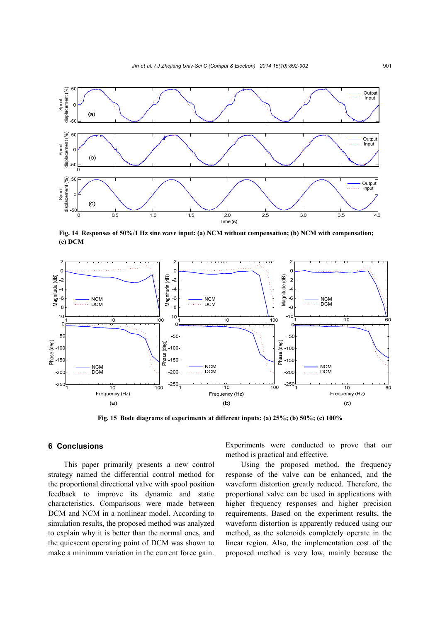

**Fig. 14 Responses of 50%/1 Hz sine wave input: (a) NCM without compensation; (b) NCM with compensation;**   $(c)$  DCM



**Fig. 15 Bode diagrams of experiments at different inputs: (a) 25%; (b) 50%; (c) 100%** 

## **6 Conclusions**

This paper primarily presents a new control strategy named the differential control method for the proportional directional valve with spool position feedback to improve its dynamic and static characteristics. Comparisons were made between DCM and NCM in a nonlinear model. According to simulation results, the proposed method was analyzed to explain why it is better than the normal ones, and the quiescent operating point of DCM was shown to make a minimum variation in the current force gain.

Experiments were conducted to prove that our method is practical and effective.

Using the proposed method, the frequency response of the valve can be enhanced, and the waveform distortion greatly reduced. Therefore, the proportional valve can be used in applications with higher frequency responses and higher precision requirements. Based on the experiment results, the waveform distortion is apparently reduced using our method, as the solenoids completely operate in the linear region. Also, the implementation cost of the proposed method is very low, mainly because the